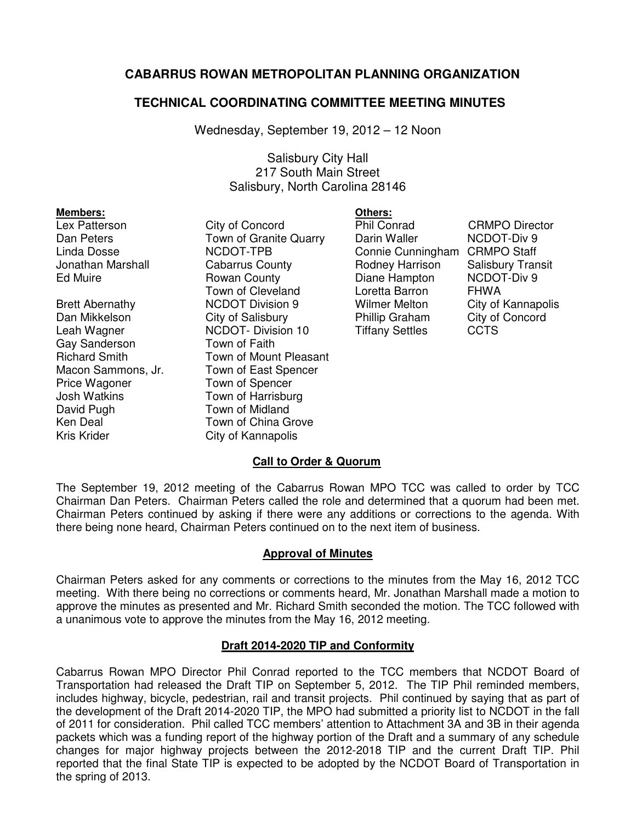# **CABARRUS ROWAN METROPOLITAN PLANNING ORGANIZATION**

## **TECHNICAL COORDINATING COMMITTEE MEETING MINUTES**

Wednesday, September 19, 2012 – 12 Noon

### Salisbury City Hall 217 South Main Street Salisbury, North Carolina 28146

| <b>Members:</b>        |                         | Others:                |                          |
|------------------------|-------------------------|------------------------|--------------------------|
| Lex Patterson          | City of Concord         | <b>Phil Conrad</b>     | <b>CRMPO Director</b>    |
| Dan Peters             | Town of Granite Quarry  | Darin Waller           | NCDOT-Div 9              |
| Linda Dosse            | NCDOT-TPB               | Connie Cunningham      | <b>CRMPO Staff</b>       |
| Jonathan Marshall      | <b>Cabarrus County</b>  | Rodney Harrison        | <b>Salisbury Transit</b> |
| <b>Ed Muire</b>        | Rowan County            | Diane Hampton          | <b>NCDOT-Div 9</b>       |
|                        | Town of Cleveland       | Loretta Barron         | <b>FHWA</b>              |
| <b>Brett Abernathy</b> | <b>NCDOT Division 9</b> | Wilmer Melton          | City of Kannapolis       |
| Dan Mikkelson          | City of Salisbury       | Phillip Graham         | City of Concord          |
| Leah Wagner            | NCDOT-Division 10       | <b>Tiffany Settles</b> | <b>CCTS</b>              |
| Gay Sanderson          | Town of Faith           |                        |                          |
| <b>Richard Smith</b>   | Town of Mount Pleasant  |                        |                          |
| Macon Sammons, Jr.     | Town of East Spencer    |                        |                          |
| Price Wagoner          | Town of Spencer         |                        |                          |
| <b>Josh Watkins</b>    | Town of Harrisburg      |                        |                          |
| David Pugh             | Town of Midland         |                        |                          |
| Ken Deal               | Town of China Grove     |                        |                          |
| <b>Kris Krider</b>     | City of Kannapolis      |                        |                          |

### **Call to Order & Quorum**

The September 19, 2012 meeting of the Cabarrus Rowan MPO TCC was called to order by TCC Chairman Dan Peters. Chairman Peters called the role and determined that a quorum had been met. Chairman Peters continued by asking if there were any additions or corrections to the agenda. With there being none heard, Chairman Peters continued on to the next item of business.

### **Approval of Minutes**

Chairman Peters asked for any comments or corrections to the minutes from the May 16, 2012 TCC meeting. With there being no corrections or comments heard, Mr. Jonathan Marshall made a motion to approve the minutes as presented and Mr. Richard Smith seconded the motion. The TCC followed with a unanimous vote to approve the minutes from the May 16, 2012 meeting.

### **Draft 2014-2020 TIP and Conformity**

Cabarrus Rowan MPO Director Phil Conrad reported to the TCC members that NCDOT Board of Transportation had released the Draft TIP on September 5, 2012. The TIP Phil reminded members, includes highway, bicycle, pedestrian, rail and transit projects. Phil continued by saying that as part of the development of the Draft 2014-2020 TIP, the MPO had submitted a priority list to NCDOT in the fall of 2011 for consideration. Phil called TCC members' attention to Attachment 3A and 3B in their agenda packets which was a funding report of the highway portion of the Draft and a summary of any schedule changes for major highway projects between the 2012-2018 TIP and the current Draft TIP. Phil reported that the final State TIP is expected to be adopted by the NCDOT Board of Transportation in the spring of 2013.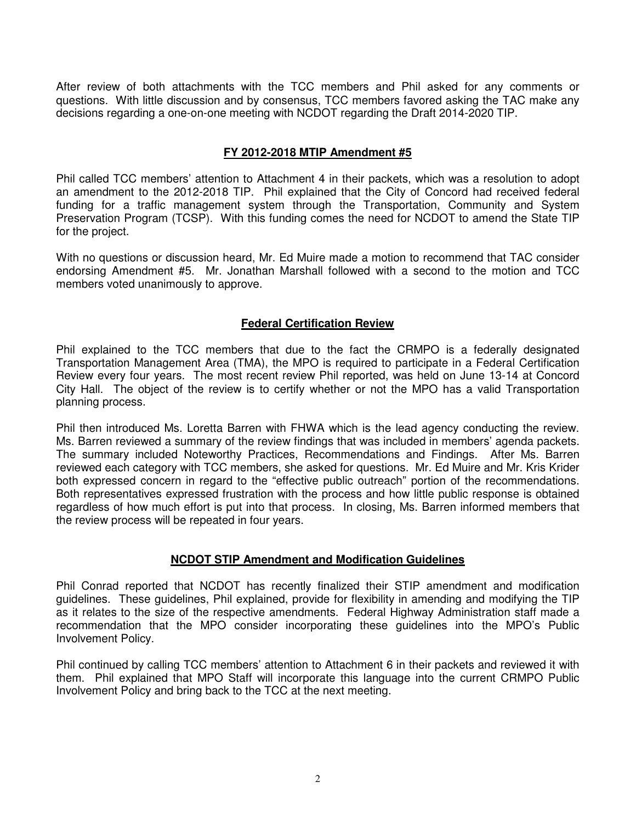After review of both attachments with the TCC members and Phil asked for any comments or questions. With little discussion and by consensus, TCC members favored asking the TAC make any decisions regarding a one-on-one meeting with NCDOT regarding the Draft 2014-2020 TIP.

### **FY 2012-2018 MTIP Amendment #5**

Phil called TCC members' attention to Attachment 4 in their packets, which was a resolution to adopt an amendment to the 2012-2018 TIP. Phil explained that the City of Concord had received federal funding for a traffic management system through the Transportation, Community and System Preservation Program (TCSP). With this funding comes the need for NCDOT to amend the State TIP for the project.

With no questions or discussion heard, Mr. Ed Muire made a motion to recommend that TAC consider endorsing Amendment #5. Mr. Jonathan Marshall followed with a second to the motion and TCC members voted unanimously to approve.

### **Federal Certification Review**

Phil explained to the TCC members that due to the fact the CRMPO is a federally designated Transportation Management Area (TMA), the MPO is required to participate in a Federal Certification Review every four years. The most recent review Phil reported, was held on June 13-14 at Concord City Hall. The object of the review is to certify whether or not the MPO has a valid Transportation planning process.

Phil then introduced Ms. Loretta Barren with FHWA which is the lead agency conducting the review. Ms. Barren reviewed a summary of the review findings that was included in members' agenda packets. The summary included Noteworthy Practices, Recommendations and Findings. After Ms. Barren reviewed each category with TCC members, she asked for questions. Mr. Ed Muire and Mr. Kris Krider both expressed concern in regard to the "effective public outreach" portion of the recommendations. Both representatives expressed frustration with the process and how little public response is obtained regardless of how much effort is put into that process. In closing, Ms. Barren informed members that the review process will be repeated in four years.

#### **NCDOT STIP Amendment and Modification Guidelines**

Phil Conrad reported that NCDOT has recently finalized their STIP amendment and modification guidelines. These guidelines, Phil explained, provide for flexibility in amending and modifying the TIP as it relates to the size of the respective amendments. Federal Highway Administration staff made a recommendation that the MPO consider incorporating these guidelines into the MPO's Public Involvement Policy.

Phil continued by calling TCC members' attention to Attachment 6 in their packets and reviewed it with them. Phil explained that MPO Staff will incorporate this language into the current CRMPO Public Involvement Policy and bring back to the TCC at the next meeting.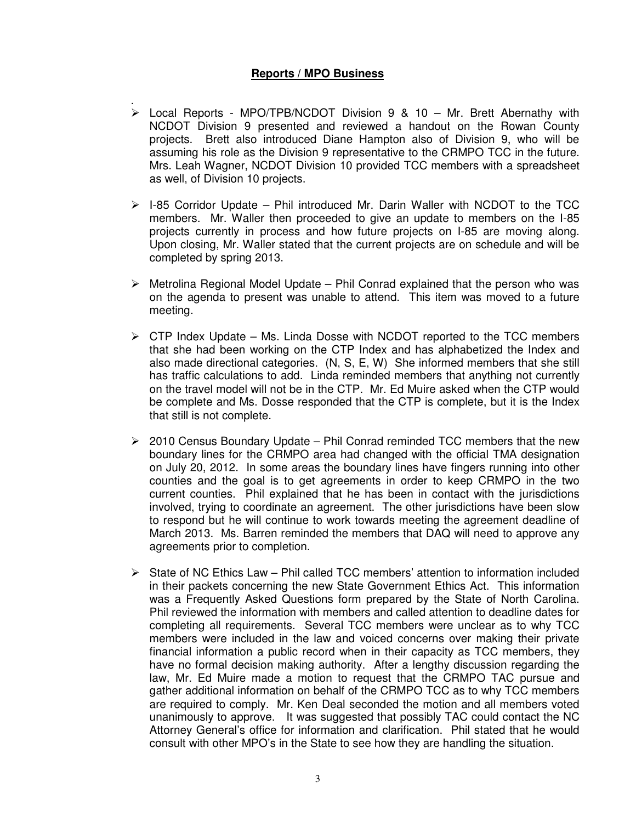### **Reports / MPO Business**

- . Local Reports - MPO/TPB/NCDOT Division 9 & 10 – Mr. Brett Abernathy with NCDOT Division 9 presented and reviewed a handout on the Rowan County projects. Brett also introduced Diane Hampton also of Division 9, who will be assuming his role as the Division 9 representative to the CRMPO TCC in the future. Mrs. Leah Wagner, NCDOT Division 10 provided TCC members with a spreadsheet as well, of Division 10 projects.
- $\triangleright$  I-85 Corridor Update Phil introduced Mr. Darin Waller with NCDOT to the TCC members. Mr. Waller then proceeded to give an update to members on the I-85 projects currently in process and how future projects on I-85 are moving along. Upon closing, Mr. Waller stated that the current projects are on schedule and will be completed by spring 2013.
- $\triangleright$  Metrolina Regional Model Update Phil Conrad explained that the person who was on the agenda to present was unable to attend. This item was moved to a future meeting.
- $\triangleright$  CTP Index Update Ms. Linda Dosse with NCDOT reported to the TCC members that she had been working on the CTP Index and has alphabetized the Index and also made directional categories. (N, S, E, W) She informed members that she still has traffic calculations to add. Linda reminded members that anything not currently on the travel model will not be in the CTP. Mr. Ed Muire asked when the CTP would be complete and Ms. Dosse responded that the CTP is complete, but it is the Index that still is not complete.
- $\geq$  2010 Census Boundary Update Phil Conrad reminded TCC members that the new boundary lines for the CRMPO area had changed with the official TMA designation on July 20, 2012. In some areas the boundary lines have fingers running into other counties and the goal is to get agreements in order to keep CRMPO in the two current counties. Phil explained that he has been in contact with the jurisdictions involved, trying to coordinate an agreement. The other jurisdictions have been slow to respond but he will continue to work towards meeting the agreement deadline of March 2013. Ms. Barren reminded the members that DAQ will need to approve any agreements prior to completion.
- $\triangleright$  State of NC Ethics Law Phil called TCC members' attention to information included in their packets concerning the new State Government Ethics Act. This information was a Frequently Asked Questions form prepared by the State of North Carolina. Phil reviewed the information with members and called attention to deadline dates for completing all requirements. Several TCC members were unclear as to why TCC members were included in the law and voiced concerns over making their private financial information a public record when in their capacity as TCC members, they have no formal decision making authority. After a lengthy discussion regarding the law, Mr. Ed Muire made a motion to request that the CRMPO TAC pursue and gather additional information on behalf of the CRMPO TCC as to why TCC members are required to comply. Mr. Ken Deal seconded the motion and all members voted unanimously to approve. It was suggested that possibly TAC could contact the NC Attorney General's office for information and clarification. Phil stated that he would consult with other MPO's in the State to see how they are handling the situation.